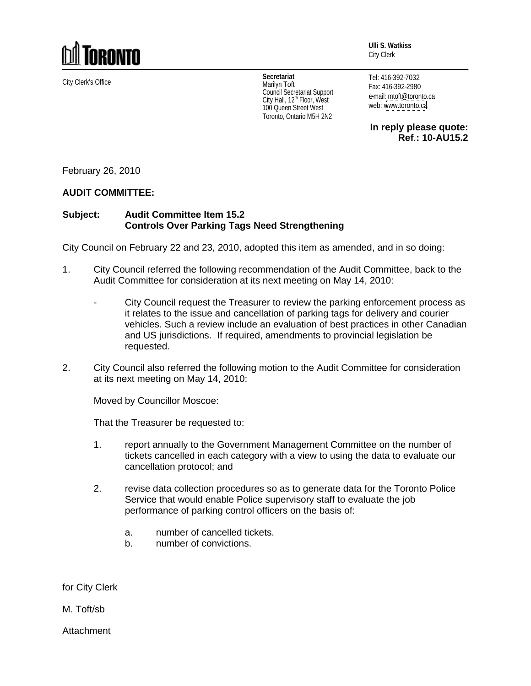

City Clerk's Office **Secretariat** Marilyn Toft Council Secretariat Support<br>Council Secretariat Support<br>City Hall, 12<sup>th</sup> Floor, West<br>New York: West City Hall, 12<sup>th</sup> Floor, West **Example 19 Fourthermore Control** City Hall, 12<sup>th</sup> Floor, West 100 Queen Street West Toronto, Ontario M5H 2N2

City Clerk

Tel: 416-392-7032 Fax: 416-392-2980 e-mail: mtoft@toronto.ca web: [www.toronto.ca](http://www.toronto.ca)

**In reply please quote: Ref**.**: 10-AU15.2**

**Ulli S. Watkiss**

February 26, 2010

## **AUDIT COMMITTEE:**

## **Subject: Audit Committee Item 15.2 Controls Over Parking Tags Need Strengthening**

City Council on February 22 and 23, 2010, adopted this item as amended, and in so doing:

- 1. City Council referred the following recommendation of the Audit Committee, back to the Audit Committee for consideration at its next meeting on May 14, 2010:
	- City Council request the Treasurer to review the parking enforcement process as it relates to the issue and cancellation of parking tags for delivery and courier vehicles. Such a review include an evaluation of best practices in other Canadian and US jurisdictions. If required, amendments to provincial legislation be requested. The contract of the contract of the contract of the contract of the contract of the contract of the contract of the contract of the contract of the contract of the contract of the contract of the contract of the
- 2. City Council also referred the following motion to the Audit Committee for consideration at its next meeting on May 14, 2010:

Moved by Councillor Moscoe:

That the Treasurer be requested to:

- 1. report annually to the Government Management Committee on the number of tickets cancelled in each category with a view to using the data to evaluate our cancellation protocol; and
- 2. revise data collection procedures so as to generate data for the Toronto Police Service that would enable Police supervisory staff to evaluate the job performance of parking control officers on the basis of:
	- a. number of cancelled tickets.
	- b. number of convictions.

for City Clerk

M. Toft/sb

Attachment